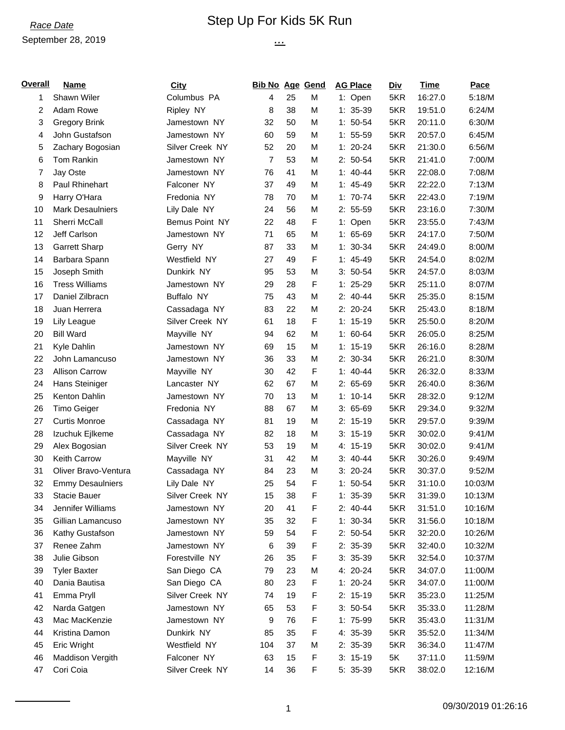#### *Race Date* Step Up For Kids 5K Run

*...*

# September 28, 2019

| Overall | <b>Name</b>             | <b>City</b>     | <b>Bib No Age Gend</b> |    |   | <b>AG Place</b> | <b>Div</b> | <b>Time</b> | Pace    |
|---------|-------------------------|-----------------|------------------------|----|---|-----------------|------------|-------------|---------|
| 1       | Shawn Wiler             | Columbus PA     | 4                      | 25 | M | 1: Open         | 5KR        | 16:27.0     | 5:18/M  |
| 2       | Adam Rowe               | Ripley NY       | 8                      | 38 | М | $1: 35-39$      | 5KR        | 19:51.0     | 6:24/M  |
| 3       | <b>Gregory Brink</b>    | Jamestown NY    | 32                     | 50 | M | $1: 50-54$      | 5KR        | 20:11.0     | 6:30/M  |
| 4       | John Gustafson          | Jamestown NY    | 60                     | 59 | M | $1: 55-59$      | 5KR        | 20:57.0     | 6:45/M  |
| 5       | Zachary Bogosian        | Silver Creek NY | 52                     | 20 | M | $1: 20-24$      | 5KR        | 21:30.0     | 6:56/M  |
| 6       | Tom Rankin              | Jamestown NY    | 7                      | 53 | M | $2: 50-54$      | 5KR        | 21:41.0     | 7:00/M  |
| 7       | Jay Oste                | Jamestown NY    | 76                     | 41 | M | $1: 40-44$      | 5KR        | 22:08.0     | 7:08/M  |
| 8       | Paul Rhinehart          | Falconer NY     | 37                     | 49 | M | $1: 45-49$      | 5KR        | 22:22.0     | 7:13/M  |
| 9       | Harry O'Hara            | Fredonia NY     | 78                     | 70 | M | $1: 70-74$      | 5KR        | 22:43.0     | 7:19/M  |
| 10      | <b>Mark Desaulniers</b> | Lily Dale NY    | 24                     | 56 | M | $2: 55-59$      | 5KR        | 23:16.0     | 7:30/M  |
| 11      | Sherri McCall           | Bemus Point NY  | 22                     | 48 | F | 1: Open         | 5KR        | 23:55.0     | 7:43/M  |
| 12      | Jeff Carlson            | Jamestown NY    | 71                     | 65 | M | $1: 65-69$      | 5KR        | 24:17.0     | 7:50/M  |
| 13      | Garrett Sharp           | Gerry NY        | 87                     | 33 | M | $1: 30-34$      | 5KR        | 24:49.0     | 8:00/M  |
| 14      | Barbara Spann           | Westfield NY    | 27                     | 49 | F | $1: 45-49$      | 5KR        | 24:54.0     | 8:02/M  |
| 15      | Joseph Smith            | Dunkirk NY      | 95                     | 53 | M | $3:50-54$       | 5KR        | 24:57.0     | 8:03/M  |
| 16      | <b>Tress Williams</b>   | Jamestown NY    | 29                     | 28 | F | $1: 25-29$      | 5KR        | 25:11.0     | 8:07/M  |
| 17      | Daniel Zilbracn         | Buffalo NY      | 75                     | 43 | M | $2: 40-44$      | 5KR        | 25:35.0     | 8:15/M  |
| 18      | Juan Herrera            | Cassadaga NY    | 83                     | 22 | M | $2: 20-24$      | 5KR        | 25:43.0     | 8:18/M  |
| 19      | Lily League             | Silver Creek NY | 61                     | 18 | F | $1: 15-19$      | 5KR        | 25:50.0     | 8:20/M  |
| 20      | <b>Bill Ward</b>        | Mayville NY     | 94                     | 62 | M | $1: 60-64$      | 5KR        | 26:05.0     | 8:25/M  |
| 21      | Kyle Dahlin             | Jamestown NY    | 69                     | 15 | M | $1: 15-19$      | 5KR        | 26:16.0     | 8:28/M  |
| 22      | John Lamancuso          | Jamestown NY    | 36                     | 33 | M | 2: 30-34        | 5KR        | 26:21.0     | 8:30/M  |
| 23      | <b>Allison Carrow</b>   | Mayville NY     | 30                     | 42 | F | $1: 40-44$      | 5KR        | 26:32.0     | 8:33/M  |
| 24      | Hans Steiniger          | Lancaster NY    | 62                     | 67 | M | $2: 65-69$      | 5KR        | 26:40.0     | 8:36/M  |
| 25      | Kenton Dahlin           | Jamestown NY    | 70                     | 13 | M | $1: 10-14$      | 5KR        | 28:32.0     | 9:12/M  |
| 26      | Timo Geiger             | Fredonia NY     | 88                     | 67 | M | $3:65-69$       | 5KR        | 29:34.0     | 9:32/M  |
| 27      | <b>Curtis Monroe</b>    | Cassadaga NY    | 81                     | 19 | M | $2: 15-19$      | 5KR        | 29:57.0     | 9:39/M  |
| 28      | Izuchuk Ejlkeme         | Cassadaga NY    | 82                     | 18 | M | $3: 15-19$      | 5KR        | 30:02.0     | 9:41/M  |
| 29      | Alex Bogosian           | Silver Creek NY | 53                     | 19 | M | 4: 15-19        | 5KR        | 30:02.0     | 9:41/M  |
| 30      | Keith Carrow            | Mayville NY     | 31                     | 42 | M | $3: 40-44$      | 5KR        | 30:26.0     | 9:49/M  |
| 31      | Oliver Bravo-Ventura    | Cassadaga NY    | 84                     | 23 | M | $3:20-24$       | 5KR        | 30:37.0     | 9:52/M  |
| 32      | <b>Emmy Desaulniers</b> | Lily Dale NY    | 25                     | 54 | F | $1: 50-54$      | 5KR        | 31:10.0     | 10:03/M |
| 33      | Stacie Bauer            | Silver Creek NY | 15                     | 38 | F | $1: 35-39$      | 5KR        | 31:39.0     | 10:13/M |
| 34      | Jennifer Williams       | Jamestown NY    | 20                     | 41 | F | $2: 40-44$      | 5KR        | 31:51.0     | 10:16/M |
| 35      | Gillian Lamancuso       | Jamestown NY    | 35                     | 32 | F | $1: 30-34$      | 5KR        | 31:56.0     | 10:18/M |
| 36      | Kathy Gustafson         | Jamestown NY    | 59                     | 54 | F | $2: 50-54$      | 5KR        | 32:20.0     | 10:26/M |
| 37      | Renee Zahm              | Jamestown NY    | 6                      | 39 | F | 2: 35-39        | 5KR        | 32:40.0     | 10:32/M |
| 38      | Julie Gibson            | Forestville NY  | 26                     | 35 | F | $3: 35-39$      | 5KR        | 32:54.0     | 10:37/M |
| 39      | <b>Tyler Baxter</b>     | San Diego CA    | 79                     | 23 | M | 4: 20-24        | 5KR        | 34:07.0     | 11:00/M |
| 40      | Dania Bautisa           | San Diego CA    | 80                     | 23 | F | $1: 20-24$      | 5KR        | 34:07.0     | 11:00/M |
| 41      | Emma Pryll              | Silver Creek NY | 74                     | 19 | F | $2: 15-19$      | 5KR        | 35:23.0     | 11:25/M |
| 42      | Narda Gatgen            | Jamestown NY    | 65                     | 53 | F | $3: 50-54$      | 5KR        | 35:33.0     | 11:28/M |
| 43      | Mac MacKenzie           | Jamestown NY    | 9                      | 76 | F | $1:75-99$       | 5KR        | 35:43.0     | 11:31/M |
| 44      | Kristina Damon          | Dunkirk NY      | 85                     | 35 | F | 4: 35-39        | 5KR        | 35:52.0     | 11:34/M |
| 45      | Eric Wright             | Westfield NY    | 104                    | 37 | M | $2: 35-39$      | 5KR        | 36:34.0     | 11:47/M |
| 46      | Maddison Vergith        | Falconer NY     | 63                     | 15 | F | $3: 15-19$      | 5K         | 37:11.0     | 11:59/M |
| 47      | Cori Coia               | Silver Creek NY | 14                     | 36 | F | 5: 35-39        | 5KR        | 38:02.0     | 12:16/M |
|         |                         |                 |                        |    |   |                 |            |             |         |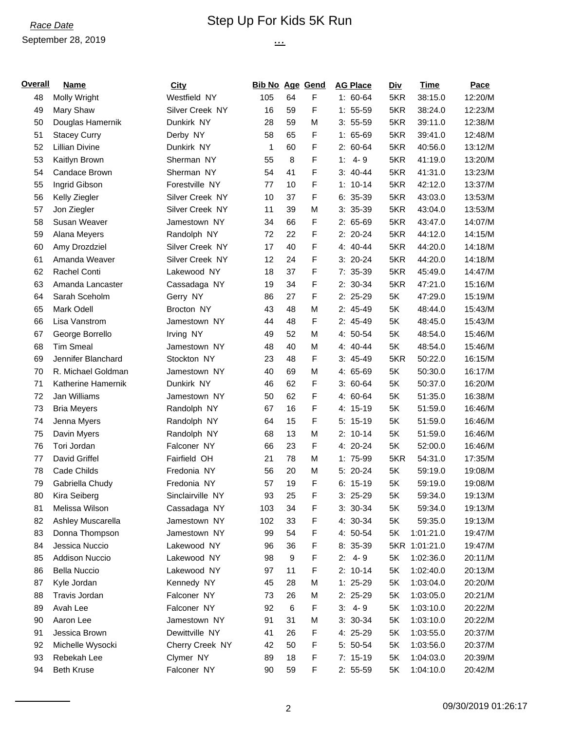#### *Race Date* Step Up For Kids 5K Run

*...*

# September 28, 2019

| <b>Overall</b> | <b>Name</b>           | City             | <b>Bib No Age Gend</b> |       |   | <b>AG Place</b> | <b>Div</b> | <b>Time</b>   | Pace    |
|----------------|-----------------------|------------------|------------------------|-------|---|-----------------|------------|---------------|---------|
| 48             | Molly Wright          | Westfield NY     | 105                    | 64    | F | $1: 60-64$      | 5KR        | 38:15.0       | 12:20/M |
| 49             | Mary Shaw             | Silver Creek NY  | 16                     | 59    | F | $1: 55-59$      | 5KR        | 38:24.0       | 12:23/M |
| 50             | Douglas Hamernik      | Dunkirk NY       | 28                     | 59    | M | $3: 55-59$      | 5KR        | 39:11.0       | 12:38/M |
| 51             | <b>Stacey Curry</b>   | Derby NY         | 58                     | 65    | F | 1: 65-69        | 5KR        | 39:41.0       | 12:48/M |
| 52             | <b>Lillian Divine</b> | Dunkirk NY       | 1                      | 60    | F | $2: 60-64$      | 5KR        | 40:56.0       | 13:12/M |
| 53             | Kaitlyn Brown         | Sherman NY       | 55                     | 8     | F | $4 - 9$<br>1:   | 5KR        | 41:19.0       | 13:20/M |
| 54             | Candace Brown         | Sherman NY       | 54                     | 41    | F | $3: 40-44$      | 5KR        | 41:31.0       | 13:23/M |
| 55             | Ingrid Gibson         | Forestville NY   | 77                     | 10    | F | $1: 10-14$      | 5KR        | 42:12.0       | 13:37/M |
| 56             | Kelly Ziegler         | Silver Creek NY  | 10                     | 37    | F | $6: 35-39$      | 5KR        | 43:03.0       | 13:53/M |
| 57             | Jon Ziegler           | Silver Creek NY  | 11                     | 39    | M | $3: 35-39$      | 5KR        | 43:04.0       | 13:53/M |
| 58             | Susan Weaver          | Jamestown NY     | 34                     | 66    | F | 2: 65-69        | 5KR        | 43:47.0       | 14:07/M |
| 59             | Alana Meyers          | Randolph NY      | 72                     | 22    | F | $2: 20-24$      | 5KR        | 44:12.0       | 14:15/M |
| 60             | Amy Drozdziel         | Silver Creek NY  | 17                     | 40    | F | 4: 40-44        | 5KR        | 44:20.0       | 14:18/M |
| 61             | Amanda Weaver         | Silver Creek NY  | 12                     | 24    | F | $3: 20-24$      | 5KR        | 44:20.0       | 14:18/M |
| 62             | Rachel Conti          | Lakewood NY      | 18                     | 37    | F | $7:35-39$       | 5KR        | 45:49.0       | 14:47/M |
| 63             | Amanda Lancaster      | Cassadaga NY     | 19                     | 34    | F | 2: 30-34        | 5KR        | 47:21.0       | 15:16/M |
| 64             | Sarah Sceholm         | Gerry NY         | 86                     | 27    | F | $2: 25-29$      | 5K         | 47:29.0       | 15:19/M |
| 65             | Mark Odell            | Brocton NY       | 43                     | 48    | M | $2: 45-49$      | 5K         | 48:44.0       | 15:43/M |
| 66             | Lisa Vanstrom         | Jamestown NY     | 44                     | 48    | F | 2: 45-49        | 5K         | 48:45.0       | 15:43/M |
| 67             | George Borrello       | Irving NY        | 49                     | 52    | M | 4: 50-54        | 5K         | 48:54.0       | 15:46/M |
| 68             | <b>Tim Smeal</b>      | Jamestown NY     | 48                     | 40    | M | 4: 40-44        | 5K         | 48:54.0       | 15:46/M |
| 69             | Jennifer Blanchard    | Stockton NY      | 23                     | 48    | F | $3: 45-49$      | 5KR        | 50:22.0       | 16:15/M |
| 70             | R. Michael Goldman    | Jamestown NY     | 40                     | 69    | M | 4: 65-69        | 5K         | 50:30.0       | 16:17/M |
| 71             | Katherine Hamernik    | Dunkirk NY       | 46                     | 62    | F | $3:60-64$       | 5K         | 50:37.0       | 16:20/M |
| 72             | Jan Williams          | Jamestown NY     | 50                     | 62    | F | 4: 60-64        | 5K         | 51:35.0       | 16:38/M |
| 73             | <b>Bria Meyers</b>    | Randolph NY      | 67                     | 16    | F | 4: 15-19        | 5K         | 51:59.0       | 16:46/M |
| 74             | Jenna Myers           | Randolph NY      | 64                     | 15    | F | 5: 15-19        | 5K         | 51:59.0       | 16:46/M |
| 75             | Davin Myers           | Randolph NY      | 68                     | 13    | M | $2: 10-14$      | 5K         | 51:59.0       | 16:46/M |
| 76             | Tori Jordan           | Falconer NY      | 66                     | 23    | F | 4: 20-24        | 5K         | 52:00.0       | 16:46/M |
| 77             | David Griffel         | Fairfield OH     | 21                     | 78    | M | 1: 75-99        | 5KR        | 54:31.0       | 17:35/M |
| 78             | Cade Childs           | Fredonia NY      | 56                     | 20    | M | $5: 20-24$      | 5K         | 59:19.0       | 19:08/M |
| 79             | Gabriella Chudy       | Fredonia NY      | 57                     | 19    | F | $6: 15-19$      | 5K         | 59:19.0       | 19:08/M |
| 80             | Kira Seiberg          | Sinclairville NY | 93                     | 25    | F | $3: 25-29$      | 5K         | 59:34.0       | 19:13/M |
| 81             | Melissa Wilson        | Cassadaga NY     | 103                    | 34    | F | $3: 30-34$      | 5K         | 59:34.0       | 19:13/M |
| 82             | Ashley Muscarella     | Jamestown NY     | 102                    | 33    | F | 4: 30-34        | 5K         | 59:35.0       | 19:13/M |
| 83             | Donna Thompson        | Jamestown NY     | 99                     | 54    | F | 4: 50-54        | 5K         | 1:01:21.0     | 19:47/M |
| 84             | Jessica Nuccio        | Lakewood NY      | 96                     | 36    | F | 8: 35-39        |            | 5KR 1:01:21.0 | 19:47/M |
| 85             | <b>Addison Nuccio</b> | Lakewood NY      | 98                     | 9     | F | $2: 4-9$        | 5K         | 1:02:36.0     | 20:11/M |
| 86             | <b>Bella Nuccio</b>   | Lakewood NY      | 97                     | 11    | F | $2: 10-14$      | 5K         | 1:02:40.0     | 20:13/M |
| 87             | Kyle Jordan           | Kennedy NY       | 45                     | 28    | M | $1: 25-29$      | 5K         | 1:03:04.0     | 20:20/M |
| 88             | Travis Jordan         | Falconer NY      | 73                     | 26    | M | $2: 25-29$      | 5K         | 1:03:05.0     | 20:21/M |
| 89             | Avah Lee              | Falconer NY      | 92                     | $\,6$ | F | $3: 4-9$        | 5K         | 1:03:10.0     | 20:22/M |
| 90             | Aaron Lee             | Jamestown NY     | 91                     | 31    | M | $3: 30-34$      | 5K         | 1:03:10.0     | 20:22/M |
| 91             | Jessica Brown         | Dewittville NY   | 41                     | 26    | F | 4: 25-29        | 5K         | 1:03:55.0     | 20:37/M |
| 92             | Michelle Wysocki      | Cherry Creek NY  | 42                     | 50    | F | 5: 50-54        | 5K         | 1:03:56.0     | 20:37/M |
| 93             | Rebekah Lee           | Clymer NY        | 89                     | 18    | F | $7: 15-19$      | 5K         | 1:04:03.0     | 20:39/M |
| 94             | <b>Beth Kruse</b>     | Falconer NY      | 90                     | 59    | F | $2: 55-59$      | 5K         | 1:04:10.0     | 20:42/M |